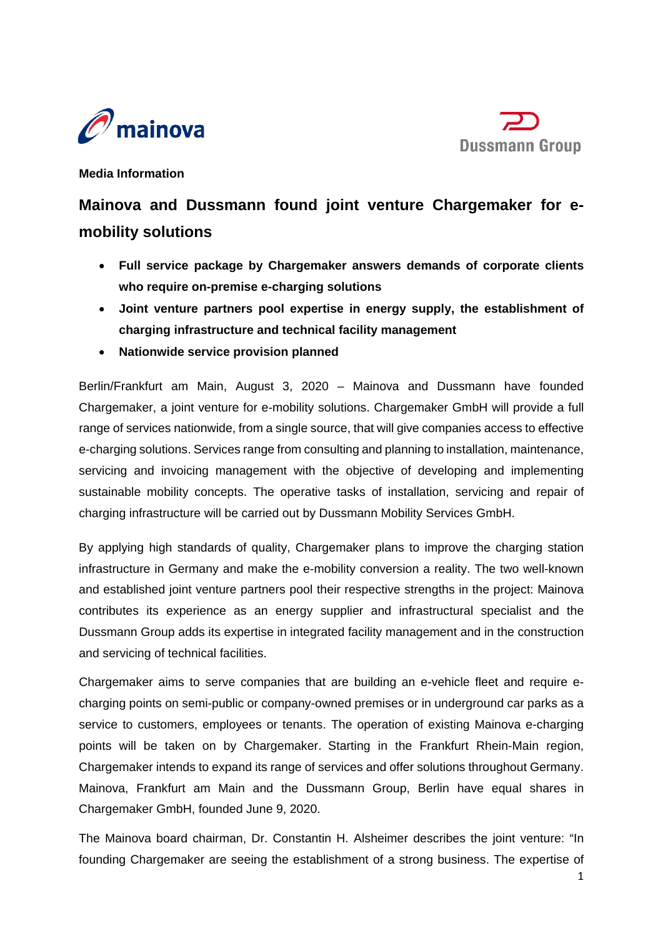



**Media Information**

# **Mainova and Dussmann found joint venture Chargemaker for emobility solutions**

- **Full service package by Chargemaker answers demands of corporate clients who require on-premise e-charging solutions**
- **Joint venture partners pool expertise in energy supply, the establishment of charging infrastructure and technical facility management**
- **Nationwide service provision planned**

Berlin/Frankfurt am Main, August 3, 2020 – Mainova and Dussmann have founded Chargemaker, a joint venture for e-mobility solutions. Chargemaker GmbH will provide a full range of services nationwide, from a single source, that will give companies access to effective e-charging solutions. Services range from consulting and planning to installation, maintenance, servicing and invoicing management with the objective of developing and implementing sustainable mobility concepts. The operative tasks of installation, servicing and repair of charging infrastructure will be carried out by Dussmann Mobility Services GmbH.

By applying high standards of quality, Chargemaker plans to improve the charging station infrastructure in Germany and make the e-mobility conversion a reality. The two well-known and established joint venture partners pool their respective strengths in the project: Mainova contributes its experience as an energy supplier and infrastructural specialist and the Dussmann Group adds its expertise in integrated facility management and in the construction and servicing of technical facilities.

Chargemaker aims to serve companies that are building an e-vehicle fleet and require echarging points on semi-public or company-owned premises or in underground car parks as a service to customers, employees or tenants. The operation of existing Mainova e-charging points will be taken on by Chargemaker. Starting in the Frankfurt Rhein-Main region, Chargemaker intends to expand its range of services and offer solutions throughout Germany. Mainova, Frankfurt am Main and the Dussmann Group, Berlin have equal shares in Chargemaker GmbH, founded June 9, 2020.

The Mainova board chairman, Dr. Constantin H. Alsheimer describes the joint venture: "In founding Chargemaker are seeing the establishment of a strong business. The expertise of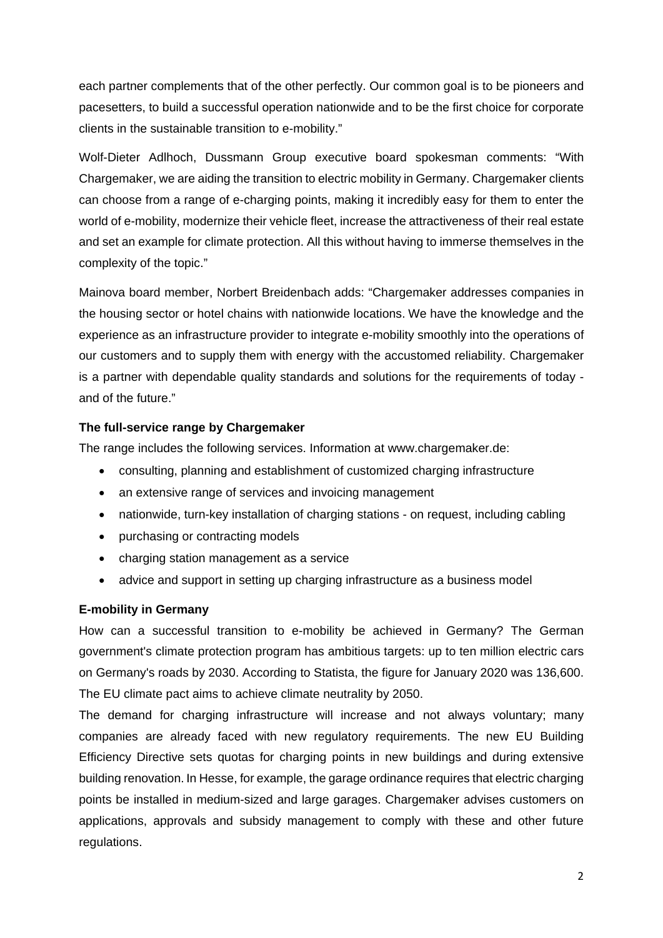each partner complements that of the other perfectly. Our common goal is to be pioneers and pacesetters, to build a successful operation nationwide and to be the first choice for corporate clients in the sustainable transition to e-mobility."

Wolf-Dieter Adlhoch, Dussmann Group executive board spokesman comments: "With Chargemaker, we are aiding the transition to electric mobility in Germany. Chargemaker clients can choose from a range of e-charging points, making it incredibly easy for them to enter the world of e-mobility, modernize their vehicle fleet, increase the attractiveness of their real estate and set an example for climate protection. All this without having to immerse themselves in the complexity of the topic."

Mainova board member, Norbert Breidenbach adds: "Chargemaker addresses companies in the housing sector or hotel chains with nationwide locations. We have the knowledge and the experience as an infrastructure provider to integrate e-mobility smoothly into the operations of our customers and to supply them with energy with the accustomed reliability. Chargemaker is a partner with dependable quality standards and solutions for the requirements of today and of the future."

## **The full-service range by Chargemaker**

The range includes the following services. Information at www.chargemaker.de:

- consulting, planning and establishment of customized charging infrastructure
- an extensive range of services and invoicing management
- nationwide, turn-key installation of charging stations on request, including cabling
- purchasing or contracting models
- charging station management as a service
- advice and support in setting up charging infrastructure as a business model

## **E-mobility in Germany**

How can a successful transition to e-mobility be achieved in Germany? The German government's climate protection program has ambitious targets: up to ten million electric cars on Germany's roads by 2030. According to Statista, the figure for January 2020 was 136,600. The EU climate pact aims to achieve climate neutrality by 2050.

The demand for charging infrastructure will increase and not always voluntary; many companies are already faced with new regulatory requirements. The new EU Building Efficiency Directive sets quotas for charging points in new buildings and during extensive building renovation. In Hesse, for example, the garage ordinance requires that electric charging points be installed in medium-sized and large garages. Chargemaker advises customers on applications, approvals and subsidy management to comply with these and other future regulations.